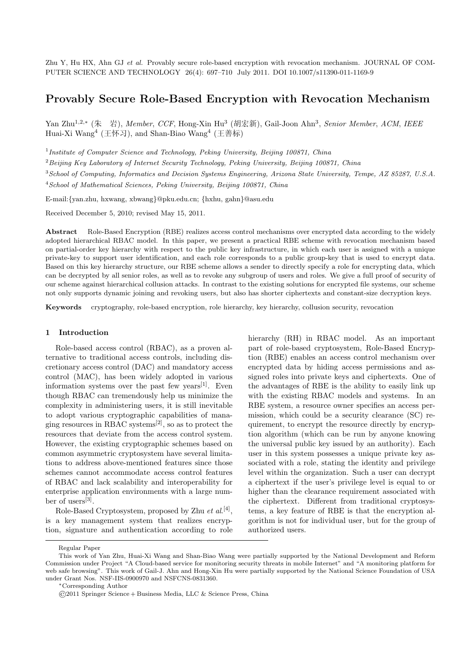Zhu Y, Hu HX, Ahn GJ et al. Provably secure role-based encryption with revocation mechanism. JOURNAL OF COM-PUTER SCIENCE AND TECHNOLOGY 26(4): 697–710 July 2011. DOI 10.1007/s11390-011-1169-9

# Provably Secure Role-Based Encryption with Revocation Mechanism

Yan Zhu<sup>1,2,∗</sup> (朱 岩), Member, CCF, Hong-Xin Hu<sup>3</sup> (胡宏新), Gail-Joon Ahn<sup>3</sup>, Senior Member, ACM, IEEE Huai-Xi Wang<sup>4</sup> (王怀习), and Shan-Biao Wang<sup>4</sup> (王善标)

<sup>1</sup>Institute of Computer Science and Technology, Peking University, Beijing 100871, China

 ${}^{2}$ Beijing Key Laboratory of Internet Security Technology, Peking University, Beijing 100871, China

<sup>3</sup>School of Computing, Informatics and Decision Systems Engineering, Arizona State University, Tempe, AZ 85287, U.S.A.

<sup>4</sup> School of Mathematical Sciences, Peking University, Beijing 100871, China

E-mail:{yan.zhu, hxwang, xbwang}@pku.edu.cn; {hxhu, gahn}@asu.edu

Received December 5, 2010; revised May 15, 2011.

Abstract Role-Based Encryption (RBE) realizes access control mechanisms over encrypted data according to the widely adopted hierarchical RBAC model. In this paper, we present a practical RBE scheme with revocation mechanism based on partial-order key hierarchy with respect to the public key infrastructure, in which each user is assigned with a unique private-key to support user identification, and each role corresponds to a public group-key that is used to encrypt data. Based on this key hierarchy structure, our RBE scheme allows a sender to directly specify a role for encrypting data, which can be decrypted by all senior roles, as well as to revoke any subgroup of users and roles. We give a full proof of security of our scheme against hierarchical collusion attacks. In contrast to the existing solutions for encrypted file systems, our scheme not only supports dynamic joining and revoking users, but also has shorter ciphertexts and constant-size decryption keys.

Keywords cryptography, role-based encryption, role hierarchy, key hierarchy, collusion security, revocation

## 1 Introduction

Role-based access control (RBAC), as a proven alternative to traditional access controls, including discretionary access control (DAC) and mandatory access control (MAC), has been widely adopted in various information systems over the past few years<sup>[1]</sup>. Even though RBAC can tremendously help us minimize the complexity in administering users, it is still inevitable to adopt various cryptographic capabilities of managing resources in RBAC systems $^{[2]}$ , so as to protect the resources that deviate from the access control system. However, the existing cryptographic schemes based on common asymmetric cryptosystem have several limitations to address above-mentioned features since those schemes cannot accommodate access control features of RBAC and lack scalability and interoperability for enterprise application environments with a large number of users<sup>[3]</sup>.

Role-Based Cryptosystem, proposed by Zhu  $et \ al.$ <sup>[4]</sup>, is a key management system that realizes encryption, signature and authentication according to role hierarchy (RH) in RBAC model. As an important part of role-based cryptosystem, Role-Based Encryption (RBE) enables an access control mechanism over encrypted data by hiding access permissions and assigned roles into private keys and ciphertexts. One of the advantages of RBE is the ability to easily link up with the existing RBAC models and systems. In an RBE system, a resource owner specifies an access permission, which could be a security clearance (SC) requirement, to encrypt the resource directly by encryption algorithm (which can be run by anyone knowing the universal public key issued by an authority). Each user in this system possesses a unique private key associated with a role, stating the identity and privilege level within the organization. Such a user can decrypt a ciphertext if the user's privilege level is equal to or higher than the clearance requirement associated with the ciphertext. Different from traditional cryptosystems, a key feature of RBE is that the encryption algorithm is not for individual user, but for the group of authorized users.

Regular Paper

<sup>∗</sup>Corresponding Author

This work of Yan Zhu, Huai-Xi Wang and Shan-Biao Wang were partially supported by the National Development and Reform Commission under Project "A Cloud-based service for monitoring security threats in mobile Internet" and "A monitoring platform for web safe browsing". This work of Gail-J. Ahn and Hong-Xin Hu were partially supported by the National Science Foundation of USA under Grant Nos. NSF-IIS-0900970 and NSFCNS-0831360.

 $\odot$ 2011 Springer Science + Business Media, LLC & Science Press, China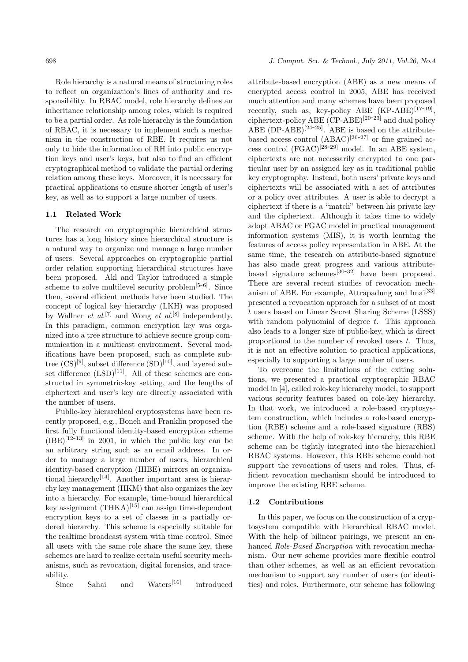Role hierarchy is a natural means of structuring roles to reflect an organization's lines of authority and responsibility. In RBAC model, role hierarchy defines an inheritance relationship among roles, which is required to be a partial order. As role hierarchy is the foundation of RBAC, it is necessary to implement such a mechanism in the construction of RBE. It requires us not only to hide the information of RH into public encryption keys and user's keys, but also to find an efficient cryptographical method to validate the partial ordering relation among these keys. Moreover, it is necessary for practical applications to ensure shorter length of user's key, as well as to support a large number of users.

## 1.1 Related Work

The research on cryptographic hierarchical structures has a long history since hierarchical structure is a natural way to organize and manage a large number of users. Several approaches on cryptographic partial order relation supporting hierarchical structures have been proposed. Akl and Taylor introduced a simple scheme to solve multilevel security problem<sup>[5-6]</sup>. Since then, several efficient methods have been studied. The concept of logical key hierarchy (LKH) was proposed by Wallner *et al.*<sup>[7]</sup> and Wong *et al.*<sup>[8]</sup> independently. In this paradigm, common encryption key was organized into a tree structure to achieve secure group communication in a multicast environment. Several modifications have been proposed, such as complete subtree  $(CS)^{[9]}$ , subset difference  $(SD)^{[10]}$ , and layered subset difference  $(LSD)^{[11]}$ . All of these schemes are constructed in symmetric-key setting, and the lengths of ciphertext and user's key are directly associated with the number of users.

Public-key hierarchical cryptosystems have been recently proposed, e.g., Boneh and Franklin proposed the first fully functional identity-based encryption scheme  $(IBE)^{[12-13]}$  in 2001, in which the public key can be an arbitrary string such as an email address. In order to manage a large number of users, hierarchical identity-based encryption (HIBE) mirrors an organizational hierarchy<sup>[14]</sup>. Another important area is hierarchy key management (HKM) that also organizes the key into a hierarchy. For example, time-bound hierarchical key assignment  $(THKA)^{[15]}$  can assign time-dependent encryption keys to a set of classes in a partially ordered hierarchy. This scheme is especially suitable for the realtime broadcast system with time control. Since all users with the same role share the same key, these schemes are hard to realize certain useful security mechanisms, such as revocation, digital forensics, and traceability.

Since Sahai and Waters<sup>[16]</sup> introduced

attribute-based encryption (ABE) as a new means of encrypted access control in 2005, ABE has received much attention and many schemes have been proposed recently, such as, key-policy ABE  $(KP-ABE)^{[17-19]}$ , ciphertext-policy ABE  $(CP-ABE)^{[20-23]}$  and dual policy ABE  $(DP-ABE)^{[24-25]}$ . ABE is based on the attributebased access control  $(ABAC)^{[26-27]}$  or fine grained access control  $(FGAC)^{[28-29]}$  model. In an ABE system, ciphertexts are not necessarily encrypted to one particular user by an assigned key as in traditional public key cryptography. Instead, both users' private keys and ciphertexts will be associated with a set of attributes or a policy over attributes. A user is able to decrypt a ciphertext if there is a "match" between his private key and the ciphertext. Although it takes time to widely adopt ABAC or FGAC model in practical management information systems (MIS), it is worth learning the features of access policy representation in ABE. At the same time, the research on attribute-based signature has also made great progress and various attributebased signature schemes[30-32] have been proposed. There are several recent studies of revocation mechanism of ABE. For example, Attrapadung and Imai<sup>[33]</sup> presented a revocation approach for a subset of at most t users based on Linear Secret Sharing Scheme (LSSS) with random polynomial of degree  $t$ . This approach also leads to a longer size of public-key, which is direct proportional to the number of revoked users  $t$ . Thus, it is not an effective solution to practical applications, especially to supporting a large number of users.

To overcome the limitations of the exiting solutions, we presented a practical cryptographic RBAC model in [4], called role-key hierarchy model, to support various security features based on role-key hierarchy. In that work, we introduced a role-based cryptosystem construction, which includes a role-based encryption (RBE) scheme and a role-based signature (RBS) scheme. With the help of role-key hierarchy, this RBE scheme can be tightly integrated into the hierarchical RBAC systems. However, this RBE scheme could not support the revocations of users and roles. Thus, efficient revocation mechanism should be introduced to improve the existing RBE scheme.

## 1.2 Contributions

In this paper, we focus on the construction of a cryptosystem compatible with hierarchical RBAC model. With the help of bilinear pairings, we present an enhanced Role-Based Encryption with revocation mechanism. Our new scheme provides more flexible control than other schemes, as well as an efficient revocation mechanism to support any number of users (or identities) and roles. Furthermore, our scheme has following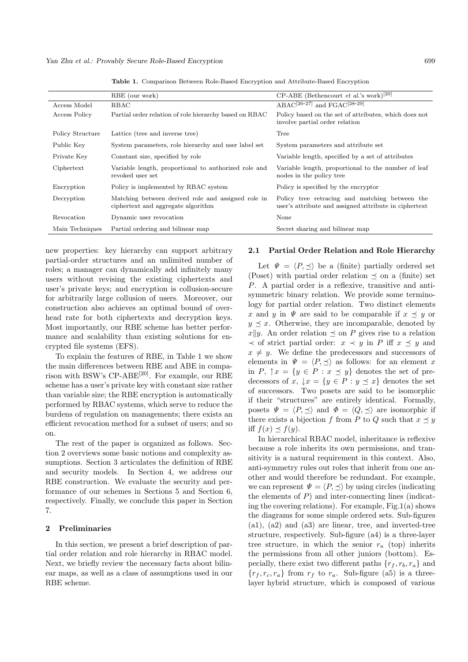|                  | RBE (our work)                                                                           | CP-ABE (Bethencourt <i>et al.</i> 's work) <sup>[20]</sup>                                              |  |
|------------------|------------------------------------------------------------------------------------------|---------------------------------------------------------------------------------------------------------|--|
| Access Model     | RBAC                                                                                     | ABAC <sup>[26-27]</sup> and FGAC <sup>[28-29]</sup>                                                     |  |
| Access Policy    | Partial order relation of role hierarchy based on RBAC                                   | Policy based on the set of attributes, which does not<br>involve partial order relation                 |  |
| Policy Structure | Lattice (tree and inverse tree)                                                          | Tree                                                                                                    |  |
| Public Key       | System parameters, role hierarchy and user label set                                     | System parameters and attribute set                                                                     |  |
| Private Key      | Constant size, specified by role                                                         | Variable length, specified by a set of attributes                                                       |  |
| Ciphertext       | Variable length, proportional to authorized role and<br>revoked user set                 | Variable length, proportional to the number of leaf<br>nodes in the policy tree                         |  |
| Encryption       | Policy is implemented by RBAC system                                                     | Policy is specified by the encryptor                                                                    |  |
| Decryption       | Matching between derived role and assigned role in<br>ciphertext and aggregate algorithm | Policy tree retracing and matching between the<br>user's attribute and assigned attribute in ciphertext |  |
| Revocation       | Dynamic user revocation                                                                  | None                                                                                                    |  |
| Main Techniques  | Partial ordering and bilinear map                                                        | Secret sharing and bilinear map                                                                         |  |

Table 1. Comparison Between Role-Based Encryption and Attribute-Based Encryption

new properties: key hierarchy can support arbitrary partial-order structures and an unlimited number of roles; a manager can dynamically add infinitely many users without revising the existing ciphertexts and user's private keys; and encryption is collusion-secure for arbitrarily large collusion of users. Moreover, our construction also achieves an optimal bound of overhead rate for both ciphertexts and decryption keys. Most importantly, our RBE scheme has better performance and scalability than existing solutions for encrypted file systems (EFS).

To explain the features of RBE, in Table 1 we show the main differences between RBE and ABE in comparison with BSW's CP-ABE[20]. For example, our RBE scheme has a user's private key with constant size rather than variable size; the RBE encryption is automatically performed by RBAC systems, which serve to reduce the burdens of regulation on managements; there exists an efficient revocation method for a subset of users; and so on.

The rest of the paper is organized as follows. Section 2 overviews some basic notions and complexity assumptions. Section 3 articulates the definition of RBE and security models. In Section 4, we address our RBE construction. We evaluate the security and performance of our schemes in Sections 5 and Section 6, respectively. Finally, we conclude this paper in Section 7.

### 2 Preliminaries

In this section, we present a brief description of partial order relation and role hierarchy in RBAC model. Next, we briefly review the necessary facts about bilinear maps, as well as a class of assumptions used in our RBE scheme.

## 2.1 Partial Order Relation and Role Hierarchy

Let  $\Psi = \langle P, \preceq \rangle$  be a (finite) partially ordered set (Poset) with partial order relation  $\prec$  on a (finite) set P. A partial order is a reflexive, transitive and antisymmetric binary relation. We provide some terminology for partial order relation. Two distinct elements x and y in  $\Psi$  are said to be comparable if  $x \preceq y$  or  $y \preceq x$ . Otherwise, they are incomparable, denoted by  $x||y$ . An order relation  $\preceq$  on P gives rise to a relation  $\prec$  of strict partial order:  $x \prec y$  in P iff  $x \preceq y$  and  $x \neq y$ . We define the predecessors and successors of elements in  $\Psi = \langle P, \preceq \rangle$  as follows: for an element x in P,  $\uparrow x = \{y \in P : x \preceq y\}$  denotes the set of predecessors of x,  $\downarrow x = \{y \in P : y \preceq x\}$  denotes the set of successors. Two posets are said to be isomorphic if their "structures" are entirely identical. Formally, posets  $\Psi = \langle P, \preceq \rangle$  and  $\Phi = \langle Q, \preceq \rangle$  are isomorphic if there exists a bijection f from P to Q such that  $x \preceq y$ iff  $f(x) \preceq f(y)$ .

In hierarchical RBAC model, inheritance is reflexive because a role inherits its own permissions, and transitivity is a natural requirement in this context. Also, anti-symmetry rules out roles that inherit from one another and would therefore be redundant. For example, we can represent  $\Psi = \langle P, \preceq \rangle$  by using circles (indicating the elements of  $P$ ) and inter-connecting lines (indicating the covering relations). For example, Fig.1(a) shows the diagrams for some simple ordered sets. Sub-figures (a1), (a2) and (a3) are linear, tree, and inverted-tree structure, respectively. Sub-figure (a4) is a three-layer tree structure, in which the senior  $r_a$  (top) inherits the permissions from all other juniors (bottom). Especially, there exist two different paths  ${r<sub>f</sub>, r<sub>b</sub>, r<sub>a</sub>}$  and  ${r_f, r_c, r_a}$  from  $r_f$  to  $r_a$ . Sub-figure (a5) is a threelayer hybrid structure, which is composed of various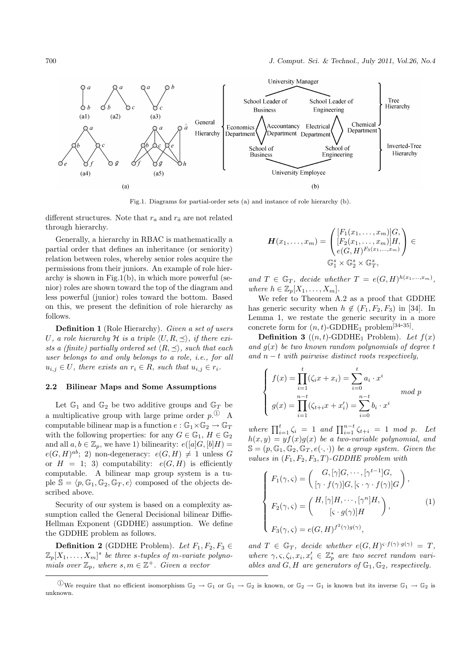

Fig.1. Diagrams for partial-order sets (a) and instance of role hierarchy (b).

different structures. Note that  $r_a$  and  $r_{\hat{a}}$  are not related through hierarchy.

Generally, a hierarchy in RBAC is mathematically a partial order that defines an inheritance (or seniority) relation between roles, whereby senior roles acquire the permissions from their juniors. An example of role hierarchy is shown in Fig.1(b), in which more powerful (senior) roles are shown toward the top of the diagram and less powerful (junior) roles toward the bottom. Based on this, we present the definition of role hierarchy as follows.

Definition 1 (Role Hierarchy). Given a set of users U, a role hierarchy H is a triple  $\langle U, R, \preceq \rangle$ , if there exists a (finite) partially ordered set  $\langle R, \preceq \rangle$ , such that each user belongs to and only belongs to a role, i.e., for all  $u_{i,j} \in U$ , there exists an  $r_i \in R$ , such that  $u_{i,j} \in r_i$ .

## 2.2 Bilinear Maps and Some Assumptions

Let  $\mathbb{G}_1$  and  $\mathbb{G}_2$  be two additive groups and  $\mathbb{G}_T$  be a multiplicative group with large prime order  $p^{(1)}$  A computable bilinear map is a function  $e : \mathbb{G}_1 \times \mathbb{G}_2 \to \mathbb{G}_T$ with the following properties: for any  $G \in \mathbb{G}_1$ ,  $H \in \mathbb{G}_2$ and all  $a, b \in \mathbb{Z}_p$ , we have 1) bilinearity:  $e([a]G, [b]H) =$  $e(G, H)^{ab}$ ; 2) non-degeneracy:  $e(G, H) \neq 1$  unless G or  $H = 1$ ; 3) computability:  $e(G, H)$  is efficiently computable. A bilinear map group system is a tuple  $\mathbb{S} = \langle p, \mathbb{G}_1, \mathbb{G}_2, \mathbb{G}_T, e \rangle$  composed of the objects described above.

Security of our system is based on a complexity assumption called the General Decisional bilinear Diffie-Hellman Exponent (GDDHE) assumption. We define the GDDHE problem as follows.

Definition 2 (GDDHE Problem). Let  $F_1, F_2, F_3 \in$  $\mathbb{Z}_p[X_1,\ldots,X_m]^s$  be three s-tuples of m-variate polynomials over  $\mathbb{Z}_p$ , where  $s, m \in \mathbb{Z}^+$ . Given a vector

$$
\mathbf{H}(x_1,\ldots,x_m) = \begin{pmatrix} [F_1(x_1,\ldots,x_m)]G, \\ [F_2(x_1,\ldots,x_m)]H, \\ e(G,H)^{F_3(x_1,\ldots,x_m)} \end{pmatrix} \in \mathbb{G}_1^s \times \mathbb{G}_2^s \times \mathbb{G}_T^s,
$$

and  $T \in \mathbb{G}_T$ , decide whether  $T = e(G, H)^{h(x_1, \ldots, x_m)}$ , where  $h \in \mathbb{Z}_p[X_1,\ldots,X_m].$ 

We refer to Theorem A.2 as a proof that GDDHE has generic security when  $h \notin (F_1, F_2, F_3)$  in [34]. In Lemma 1, we restate the generic security in a more concrete form for  $(n, t)$ -GDDHE<sub>1</sub> problem<sup>[34-35]</sup>.

**Definition 3** ( $(n, t)$ -GDDHE<sub>1</sub> Problem). Let  $f(x)$ and  $g(x)$  be two known random polynomials of degree t and  $n - t$  with pairwise distinct roots respectively,

$$
\begin{cases}\nf(x) = \prod_{i=1}^{t} (\zeta_i x + x_i) = \sum_{i=0}^{t} a_i \cdot x^i \\
g(x) = \prod_{i=1}^{n-t} (\zeta_{t+i} x + x_i') = \sum_{i=0}^{n-t} b_i \cdot x^i\n\end{cases} \mod p
$$

where  $\prod_{i=1}^{t} \zeta_i = 1$  and  $\prod_{i=1}^{n-t} \zeta_{t+i} = 1$  mod p. Let  $h(x, y) = yf(x)g(x)$  be a two-variable polynomial, and  $\mathbb{S} = (p, \mathbb{G}_1, \mathbb{G}_2, \mathbb{G}_T, e(\cdot, \cdot))$  be a group system. Given the values in  $(F_1, F_2, F_3, T)$ -GDDHE problem with

$$
\begin{cases}\nF_1(\gamma,\varsigma) = \begin{pmatrix}\nG, [\gamma]G, \cdots, [\gamma^{t-1}]G, \\
[\gamma \cdot f(\gamma)]G, [\varsigma \cdot \gamma \cdot f(\gamma)]G\n\end{pmatrix}, \\
F_2(\gamma,\varsigma) = \begin{pmatrix}\nH, [\gamma]H, \cdots, [\gamma^n]H, \\
[\varsigma \cdot g(\gamma)]H\n\end{pmatrix}, \\
F_3(\gamma,\varsigma) = e(G, H)^{f^2(\gamma)g(\gamma)},\n\end{cases}
$$
\n(1)

and  $T \in \mathbb{G}_T$ , decide whether  $e(G,H)^{\varsigma \cdot f(\gamma) \cdot g(\gamma)} = T$ , where  $\gamma, \zeta, \zeta_i, x_i, x'_i \in \mathbb{Z}_p^*$  are two secret random variables and  $G, H$  are generators of  $\mathbb{G}_1, \mathbb{G}_2$ , respectively.

We require that no efficient isomorphism  $\mathbb{G}_2 \to \mathbb{G}_1$  or  $\mathbb{G}_1 \to \mathbb{G}_2$  is known, or  $\mathbb{G}_2 \to \mathbb{G}_1$  is known but its inverse  $\mathbb{G}_1 \to \mathbb{G}_2$  is unknown.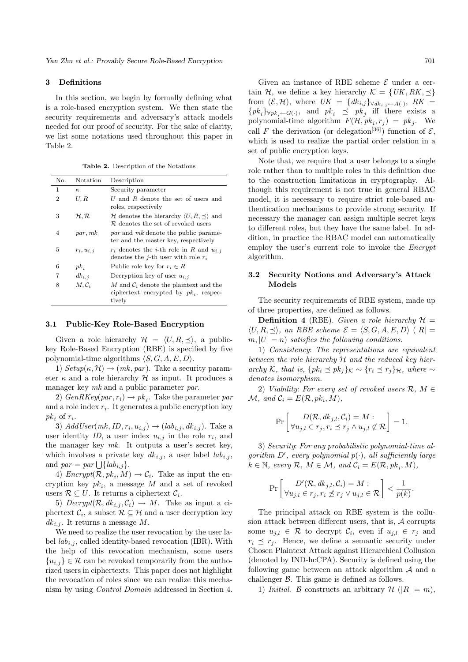## 3 Definitions

In this section, we begin by formally defining what is a role-based encryption system. We then state the security requirements and adversary's attack models needed for our proof of security. For the sake of clarity, we list some notations used throughout this paper in Table 2.

Table 2. Description of the Notations

| No.            | Notation           | Description                                                                                             |
|----------------|--------------------|---------------------------------------------------------------------------------------------------------|
| 1              | $\kappa$           | Security parameter                                                                                      |
| $\overline{2}$ | U.R                | U and R denote the set of users and<br>roles, respectively                                              |
| 3              | H. R               | H denotes the hierarchy $\langle U, R, \preceq \rangle$ and<br>R denotes the set of revoked users       |
| 4              | par, mk            | <i>par</i> and <i>mk</i> denote the public parame-<br>ter and the master key, respectively              |
| 5              | $r_i, u_{i,i}$     | $r_i$ denotes the <i>i</i> -th role in R and $u_{i,j}$<br>denotes the <i>j</i> -th user with role $r_i$ |
| 6              | $pk_i$             | Public role key for $r_i \in R$                                                                         |
| 7              | $dk_{i,j}$         | Decryption key of user $u_{i,j}$                                                                        |
| 8              | $M, \mathcal{C}_i$ | M and $\mathcal{C}_i$ denote the plaintext and the<br>ciphertext encrypted by $pki$ , respec-<br>tively |

#### 3.1 Public-Key Role-Based Encryption

Given a role hierarchy  $\mathcal{H} = \langle U, R, \preceq \rangle$ , a publickey Role-Based Encryption (RBE) is specified by five polynomial-time algorithms  $\langle S, G, A, E, D \rangle$ .

1)  $Setup(\kappa, \mathcal{H}) \rightarrow (mk, par)$ . Take a security parameter  $\kappa$  and a role hierarchy  $\mathcal H$  as input. It produces a manager key mk and a public parameter par.

2)  $GenRKey(par, r_i) \rightarrow pk_i$ . Take the parameter par and a role index  $r_i$ . It generates a public encryption key  $pk_i$  of  $r_i$ .

3)  $AddUser(mk, ID, r_i, u_{i,j}) \rightarrow (lab_{i,j}, dk_{i,j})$ . Take a user identity  $ID$ , a user index  $u_{i,j}$  in the role  $r_i$ , and the manager key  $mk$ . It outputs a user's secret key, which involves a private key  $dk_{i,j}$ , a user label  $lab_{i,j}$ , which involves a private<br>and  $par = par \bigcup \{ lab_{i,j} \}.$ 

4)  $\text{Encrypt}(\mathcal{R}, \text{pk}_i, M) \to \mathcal{C}_i$ . Take as input the encryption key  $pk_i$ , a message M and a set of revoked users  $\mathcal{R} \subseteq U$ . It returns a ciphertext  $\mathcal{C}_i$ .

5)  $Decrypt(\mathcal{R},dk_{i,j},\mathcal{C}_i) \rightarrow M$ . Take as input a ciphertext  $\mathcal{C}_i$ , a subset  $\mathcal{R} \subseteq \mathcal{H}$  and a user decryption key  $dk_{i,j}$ . It returns a message M.

We need to realize the user revocation by the user label  $lab_{i,j}$ , called identity-based revocation (IBR). With the help of this revocation mechanism, some users  ${u_{i,j}} \in \mathcal{R}$  can be revoked temporarily from the authorized users in ciphertexts. This paper does not highlight the revocation of roles since we can realize this mechanism by using Control Domain addressed in Section 4.

Given an instance of RBE scheme  $\mathcal E$  under a certain H, we define a key hierarchy  $\mathcal{K} = \{UK, RK, \prec\}$ from  $(\mathcal{E}, \mathcal{H})$ , where  $UK = \{dk_{i,j}\}_{\forall dk_{i,j} \leftarrow A(\cdot)}$ ,  $RK =$  $\{pk_i\}_{\forall pk_i \leftarrow G(\cdot)}$ , and  $pk_i \preceq pk_j$  iff there exists a polynomial-time algorithm  $F(\mathcal{H}, pk_i, r_j) = pk_j$ . We call F the derivation (or delegation<sup>[36]</sup>) function of  $\mathcal{E}$ , which is used to realize the partial order relation in a set of public encryption keys.

Note that, we require that a user belongs to a single role rather than to multiple roles in this definition due to the construction limitations in cryptography. Although this requirement is not true in general RBAC model, it is necessary to require strict role-based authentication mechanisms to provide strong security. If necessary the manager can assign multiple secret keys to different roles, but they have the same label. In addition, in practice the RBAC model can automatically employ the user's current role to invoke the *Encrypt* algorithm.

## 3.2 Security Notions and Adversary's Attack Models

The security requirements of RBE system, made up of three properties, are defined as follows.

**Definition 4** (RBE). Given a role hierarchy  $\mathcal{H} =$  $\langle U, R, \preceq \rangle$ , an RBE scheme  $\mathcal{E} = \langle S, G, A, E, D \rangle$  ( $|R| =$  $m, |U| = n$ ) satisfies the following conditions.

1) Consistency: The representations are equivalent between the role hierarchy  $H$  and the reduced key hierarchy K, that is,  $\{pk_i \preceq pk_j\}_{\mathcal{K}} \sim \{r_i \preceq r_j\}_{\mathcal{H}}$ , where  $\sim$ denotes isomorphism.

2) Viability: For every set of revoked users  $\mathcal{R}, M \in$  $\mathcal{M}$ , and  $\mathcal{C}_i = E(\mathcal{R}, p k_i, M)$ ,

$$
\Pr\left[\begin{matrix}D(\mathcal{R},dk_{j,l},\mathcal{C}_i)=M:\\ \forall u_{j,l}\in r_j, r_i \preceq r_j \wedge u_{j,l} \not\in \mathcal{R}\end{matrix}\right]=1.
$$

3) Security: For any probabilistic polynomial-time algorithm  $D'$ , every polynomial  $p(\cdot)$ , all sufficiently large  $k \in \mathbb{N}$ , every  $\mathcal{R}, M \in \mathcal{M}$ , and  $\mathcal{C}_i = E(\mathcal{R}, pk_i, M)$ ,

$$
\Pr\left[\frac{D'(\mathcal{R},dk_{j,l},\mathcal{C}_i)=M:}{\forall u_{j,l}\in r_j, r_i \nleq r_j \vee u_{j,l} \in \mathcal{R}}\right] < \frac{1}{p(k)}.
$$

The principal attack on RBE system is the collusion attack between different users, that is, A corrupts some  $u_{j,l} \in \mathcal{R}$  to decrypt  $\mathcal{C}_i$ , even if  $u_{j,l} \in r_j$  and  $r_i \preceq r_j$ . Hence, we define a semantic security under Chosen Plaintext Attack against Hierarchical Collusion (denoted by IND-hcCPA). Security is defined using the following game between an attack algorithm  $A$  and a challenger  $\beta$ . This game is defined as follows.

1) Initial. B constructs an arbitrary  $\mathcal{H}(|R| = m)$ ,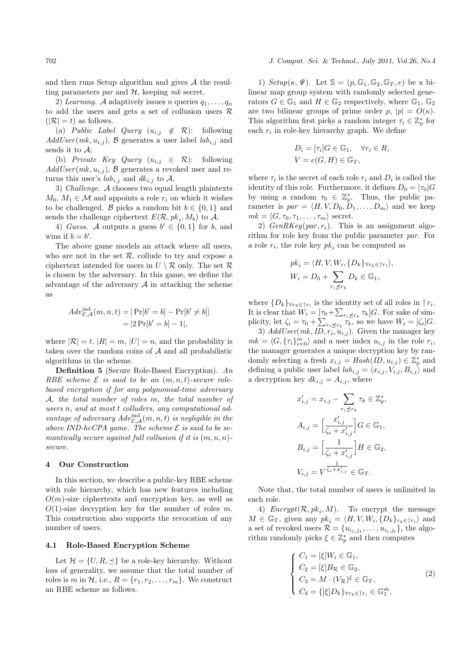and then runs Setup algorithm and gives A the resulting parameters par and  $H$ , keeping mk secret.

2) Learning. A adaptively issues n queries  $q_1, \ldots, q_n$ to add the users and gets a set of collusion users  $\mathcal R$  $(|\mathcal{R}| = t)$  as follows.

(a) Public Label Query  $(u_{i,j} \notin \mathcal{R})$ : following  $AddUser(mk, u_{i,j}), \mathcal{B}$  generates a user label  $lab_{i,j}$  and sends it to  $A$ ;

(b) Private Key Query  $(u_{i,j} \in \mathcal{R})$ : following  $AddUser(mk, u_{i,j}), \mathcal{B}$  generates a revoked user and returns this user's  $lab_{i,j}$  and  $dk_{i,j}$  to A.

3) Challenge. A chooses two equal length plaintexts  $M_0, M_1 \in \mathcal{M}$  and appoints a role  $r_i$  on which it wishes to be challenged. B picks a random bit  $b \in \{0,1\}$  and sends the challenge ciphertext  $E(\mathcal{R}, p k_i, M_b)$  to A.

4) Guess. A outputs a guess  $b' \in \{0,1\}$  for b, and wins if  $b = b'$ .

The above game models an attack where all users, who are not in the set  $R$ , collude to try and expose a ciphertext intended for users in  $U \setminus \mathcal{R}$  only. The set  $\mathcal{R}$ is chosen by the adversary. In this game, we define the advantage of the adversary  $A$  in attacking the scheme as

$$
Adv_{\mathcal{E}, \mathcal{A}}^{\text{ind}}(m, n, t) = |\Pr[b' = b] - \Pr[b' \neq b]|
$$
  
=  $|2 \Pr[b' = b] - 1|$ ,

where  $|\mathcal{R}| = t$ ,  $|R| = m$ ,  $|U| = n$ , and the probability is taken over the random coins of A and all probabilistic algorithms in the scheme.

Definition 5 (Secure Role-Based Encryption). An RBE scheme  $\mathcal E$  is said to be an  $(m, n, t)$ -secure rolebased encryption if for any polynomial-time adversary A, the total number of roles m, the total number of users n, and at most t colluders, any computational advantage of adversary  $Adv_{\mathcal{E},\mathcal{A}}^{\text{ind}}(m,n,t)$  is negligible in the above IND-hcCPA game. The scheme  $\mathcal E$  is said to be semantically secure against full collusion if it is  $(m, n, n)$ secure.

#### 4 Our Construction

In this section, we describe a public-key RBE scheme with role hierarchy, which has new features including  $O(m)$ -size ciphertexts and encryption key, as well as  $O(1)$ -size decryption key for the number of roles m. This construction also supports the revocation of any number of users.

## 4.1 Role-Based Encryption Scheme

Let  $\mathcal{H} = \{U, R, \preceq\}$  be a role-key hierarchy. Without loss of generality, we assume that the total number of roles is m in  $\mathcal{H}$ , i.e.,  $R = \{r_1, r_2, \ldots, r_m\}$ . We construct an RBE scheme as follows.

1)  $Setup(\kappa, \Psi)$ . Let  $\mathbb{S} = (p, \mathbb{G}_1, \mathbb{G}_2, \mathbb{G}_T, e)$  be a bilinear map group system with randomly selected generators  $G \in \mathbb{G}_1$  and  $H \in \mathbb{G}_2$  respectively, where  $\mathbb{G}_1$ ,  $\mathbb{G}_2$ are two bilinear groups of prime order p,  $|p| = O(\kappa)$ . This algorithm first picks a random integer  $\tau_i \in \mathbb{Z}_p^*$  for each  $r_i$  in role-key hierarchy graph. We define

$$
D_i = [\tau_i]G \in \mathbb{G}_1, \quad \forall r_i \in R,
$$
  

$$
V = e(G, H) \in \mathbb{G}_T,
$$

where  $\tau_i$  is the secret of each role  $r_i$  and  $D_i$  is called the identity of this role. Furthermore, it defines  $D_0 = [\tau_0]G$ by using a random  $\tau_0 \in \mathbb{Z}_p^*$ . Thus, the public parameter is  $par = \langle H, V, D_0, D_1, \ldots, D_m \rangle$  and we keep  $mk = \langle G, \tau_0, \tau_1, \ldots, \tau_m \rangle$  secret.

2)  $GenRKey(par, r_i)$ . This is an assignment algorithm for role key from the public parameter par. For a role  $r_i$ , the role key  $pk_i$  can be computed as

$$
pk_i = \langle H, V, W_i, \{D_k\}_{\forall r_k \in \uparrow r_i} \rangle,
$$
  

$$
W_i = D_0 + \sum_{r_i \nleq r_k} D_k \in \mathbb{G}_1,
$$

where  $\{D_k\}_{\forall r_k \in \uparrow r_i}$  is the identity set of all roles in  $\uparrow r_i$ . It is clear that  $W_i = [\tau_0 + \sum_{r_i \not\preceq r_k} \tau_k] G$ . For sake of simplicity, let  $\zeta_i = \tau_0 + \sum_{r_i \not\preceq r_k} \tau_k$ , so we have  $W_i = [\zeta_i] G$ .

3)  $AddUser(mk, ID, r_i, u_{i,j})$ . Given the manager key  $mk = \langle G, {\{\tau_i\}}_{i=0}^m \rangle$  and a user index  $u_{i,j}$  in the role  $r_i$ , the manager generates a unique decryption key by randomly selecting a fresh  $x_{i,j} = Hash(ID, u_{i,j}) \in \mathbb{Z}_p^*$  and defining a public user label  $lab_{i,j} = \langle x_{i,j}, V_{i,j}, B_{i,j} \rangle$  and a decryption key  $dk_{i,j} = A_{i,j}$ , where

$$
x'_{i,j} = x_{i,j} - \sum_{r_i \not\preceq r_k} \tau_k \in \mathbb{Z}_p^*,
$$
  
\n
$$
A_{i,j} = \Big[\frac{x'_{i,j}}{\zeta_i + x'_{i,j}}\Big]G \in \mathbb{G}_1,
$$
  
\n
$$
B_{i,j} = \Big[\frac{1}{\zeta_i + x'_{i,j}}\Big]H \in \mathbb{G}_2,
$$
  
\n
$$
V_{i,j} = V^{\frac{1}{\zeta_i + x'_{i,j}}} \in \mathbb{G}_T.
$$

Note that, the total number of users is unlimited in each role.

4)  $\text{Encrypt}(\mathcal{R}, \text{pk}_i, M)$ . To encrypt the message  $M \in \mathbb{G}_T$ , given any  $pk_i = \langle H, V, W_i, \{D_k\}_{r_k \in \uparrow r_i} \rangle$  and a set of revoked users  $\mathcal{R} = \{u_{i_1,j_1}, \ldots, u_{i_t,j_t}\},\$  the algorithm randomly picks  $\xi \in \mathbb{Z}_p^*$  and then computes

$$
\begin{cases}\nC_1 = [\xi]W_i \in \mathbb{G}_1, \\
C_2 = [\xi]B_{\mathcal{R}} \in \mathbb{G}_2, \\
C_3 = M \cdot (V_{\mathcal{R}})^{\xi} \in \mathbb{G}_T, \\
C_4 = {\{\xi|D_k\}}_{\forall r_k \in {\uparrow}r_i} \in \mathbb{G}_1^{\bar{m}},\n\end{cases}
$$
\n(2)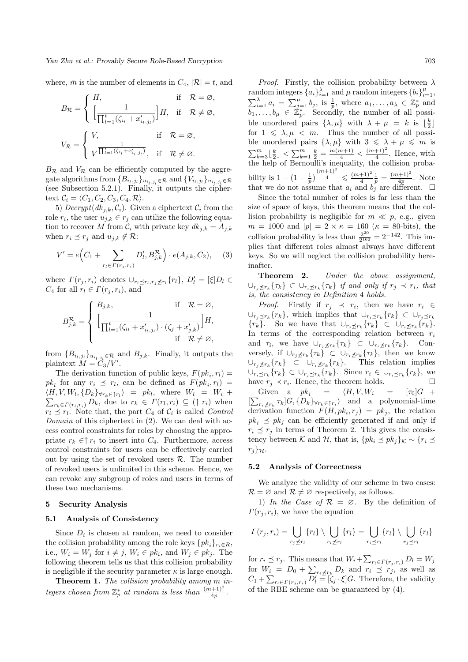where,  $\bar{m}$  is the number of elements in  $C_4$ ,  $|\mathcal{R}| = t$ , and

$$
B_{\mathcal{R}} = \begin{cases} H, & \text{if } \mathcal{R} = \varnothing, \\ \left[ \frac{1}{\prod_{l=1}^t (\zeta_{i_l} + x'_{i_l, j_l})} \right] H, & \text{if } \mathcal{R} \neq \varnothing, \end{cases}
$$
  

$$
V_{\mathcal{R}} = \begin{cases} V, & \text{if } \mathcal{R} = \varnothing, \\ V^{\frac{1}{\prod_{l=1}^t (\zeta_{i_l} + x'_{i_l, j_l})}}, & \text{if } \mathcal{R} \neq \varnothing. \end{cases}
$$

 $B_{\mathcal{R}}$  and  $V_{\mathcal{R}}$  can be efficiently computed by the aggregate algorithms from  $\{B_{i_l,j_l}\}_{u_{i_l,j_l}\in\mathcal{R}}$  and  $\{V_{i_l,j_l}\}_{u_{i_l,j_l}\in\mathcal{R}}$ (see Subsection 5.2.1). Finally, it outputs the ciphertext  $C_i = \langle C_1, C_2, C_3, C_4, \mathcal{R} \rangle$ .

5)  $Decrypt(dk_{j,k}, C_i)$ . Given a ciphertext  $C_i$  from the role  $r_i$ , the user  $u_{j,k} \in r_j$  can utilize the following equation to recover M from  $C_i$  with private key  $dk_{j,k} = A_{j,k}$ when  $r_i \preceq r_j$  and  $u_{i,k} \notin \mathcal{R}$ :

$$
V' = e\left(C_1 + \sum_{r_l \in \Gamma(r_j, r_i)} D'_l, B^{\mathcal{R}}_{j,k}\right) \cdot e(A_{j,k}, C_2), \quad (3)
$$

where  $\Gamma(r_j, r_i)$  denotes  $\cup_{r_i \leq r_l, r_j \not\leq r_l} \{r_l\}, D'_l = [\xi] D_l \in$  $C_4$  for all  $r_l \in \Gamma(r_i, r_i)$ , and

$$
B_{j,k}^{\mathcal{R}} = \left\{ \begin{array}{ll} B_{j,k}, & \mbox{if} \quad \mathcal{R} = \varnothing, \\ \displaystyle \Big[\frac{1}{\prod_{l=1}^t(\zeta_{i_l} + x'_{i_l,j_l}) \cdot (\zeta_j + x'_{j,k})}\Big] H, \\ & \mbox{if} \quad \mathcal{R} \neq \varnothing, \end{array} \right.
$$

from  ${B_{i_l,j_l}}_{u_l,j_l \in \mathcal{R}}$  and  $B_{j,k}$ . Finally, it outputs the plaintext  $M = \ddot{C}_3/V'$ .

The derivation function of public keys,  $F(pk_i, r_l)$  =  $pk_l$  for any  $r_i \preceq r_l$ , can be defined as  $F(pk_i, r_l)$  =  $\langle H, V, W_l, \{D_k\}_{\forall r_k \in \uparrow r_l} \rangle = p k_l$ , where  $W_l = W_i +$  $r_k \in \Gamma(r_l,r_i)$   $D_k$ , due to  $r_k \in \Gamma(r_l,r_i) \subseteq (\uparrow r_i)$  when  $r_i \preceq r_i$ . Note that, the part  $C_4$  of  $C_i$  is called Control Domain of this ciphertext in (2). We can deal with access control constraints for roles by choosing the appropriate  $r_k \in \uparrow r_i$  to insert into  $C_4$ . Furthermore, access control constraints for users can be effectively carried out by using the set of revoked users  $R$ . The number of revoked users is unlimited in this scheme. Hence, we can revoke any subgroup of roles and users in terms of these two mechanisms.

#### 5 Security Analysis

### 5.1 Analysis of Consistency

Since  $D_i$  is chosen at random, we need to consider the collision probability among the role keys  $\{pk_i\}_{r_i \in R}$ , i.e.,  $W_i = W_j$  for  $i \neq j$ ,  $W_i \in pk_i$ , and  $W_j \in pk_j$ . The following theorem tells us that this collision probability is negligible if the security parameter  $\kappa$  is large enough.

Theorem 1. The collision probability among m integers chosen from  $\mathbb{Z}_p^*$  at random is less than  $\frac{(m+1)^2}{4p}$ .

*Proof.* Firstly, the collision probability between  $\lambda$ random integers  $\{a_i\}_{i=1}^{\lambda}$  and  $\mu$  random integers  $\{b_i\}_{i=1}^{\mu}$  $\sum_{i=1}^{N} a_i = \sum_{j=1}^{\mu} b_j$ , is  $\frac{1}{p}$ , where  $a_1, \ldots, a_{\lambda} \in \mathbb{Z}_p^*$  and  $b_1, \ldots, b_\mu \in \mathbb{Z}_p^*$ . Secondly, the number of all possible unordered pairs  $\{\lambda, \mu\}$  with  $\lambda + \mu = k$  is  $\lfloor \frac{k}{2} \rfloor$ for  $1 \leq \lambda, \mu \leq m$ . Thus the number of all possible unordered pairs  $\{\lambda, \mu\}$  with  $3 \leq \lambda + \mu \leq m$  is  $\sum_{k=3}^{m} \lfloor \frac{k}{2} \rfloor < \sum_{k=1}^{m} \frac{k}{2} = \frac{m(m+1)}{4} < \frac{(m+1)^2}{4}$  $\frac{+1}{4}$ . Hence, with the help of Bernoulli's inequality, the collision probability is  $1 - \left(1 - \frac{1}{p}\right)$  $(m+1)^2$  $\frac{(+1)}{4} \leqslant \frac{(m+1)^2}{4}$  $\frac{(n+1)^2}{4} \frac{1}{p} = \frac{(m+1)^2}{4p}$  $\frac{(n+1)^2}{4p}$ . Note that we do not assume that  $a_i$  and  $b_j$  are different.  $\Box$ 

Since the total number of roles is far less than the size of space of keys, this theorem means that the collision probability is negligible for  $m \ll p$ , e.g., given  $m = 1000$  and  $|p| = 2 \times \kappa = 160$  ( $\kappa = 80$ -bits), the collision probability is less than  $\frac{2^{20}}{216}$  $\frac{2^{20}}{2^{162}} = 2^{-142}$ . This implies that different roles almost always have different keys. So we will neglect the collision probability hereinafter.

**Theorem 2.** Under the above assignment,  $\cup_{r_j \nleq r_k} \{\tau_k\} \subset \cup_{r_i \nleq r_k} \{\tau_k\}$  if and only if  $r_j \prec r_i$ , that is, the consistency in Definition 4 holds.

*Proof.* Firstly if  $r_j \prec r_i$ , then we have  $r_i \in$  $\cup_{r_i\preceq r_k}\{r_k\}$ , which implies that  $\cup_{r_i\preceq r_k}\{r_k\}\subset \cup_{r_j\preceq r_k}$  $\{r_k\}.$  So we have that  $\bigcup_{r_j \not\preceq r_k} \{r_k\} \subset \bigcup_{r_i \not\preceq r_k} \{r_k\}.$ In terms of the corresponding relation between  $r_i$ and  $\tau_i$ , we have  $\cup_{r_j \nleq r_k} {\tau_k} \subset \cup_{r_i \nleq r_k} {\tau_k}$ . Conversely, if  $\cup_{r_j \nleq r_k} \{\tau_k\} \subset \cup_{r_i \nleq r_k} \{\tau_k\}$ , then we know  $\cup_{r_j \nleq r_k} \{r_k\}$   $\subset \cup_{r_i \nleq r_k} \{r_k\}.$  This relation implies  $\cup_{r_i \preceq r_k} \{r_k\} \subset \cup_{r_j \preceq r_k} \{r_k\}.$  Since  $r_i \in \cup_{r_i \preceq r_k} \{r_k\}$ , we have  $r_j \prec r_i$ . Hence, the theorem holds.  $\Box$ Given a  $pk_i = \langle H, V, W_i = [\tau_0]G +$  $\overline{D}$ 

 $r_i \nleq r_k \tau_k$   $\exists G, \{D_k\}_{\forall r_k \in \uparrow r_i}$  and a polynomial-time derivation function  $F(H, pk_i, r_j) = pk_j$ , the relation  $pk_i \preceq pk_j$  can be efficiently generated if and only if  $r_i \preceq r_j$  in terms of Theorem 2. This gives the consistency between K and H, that is,  $\{pk_i \preceq pk_j\}_{\mathcal{K}} \sim \{r_i \preceq$  $r_i\}_\mathcal{H}.$ 

#### 5.2 Analysis of Correctness

We analyze the validity of our scheme in two cases:  $\mathcal{R} = \emptyset$  and  $\mathcal{R} \neq \emptyset$  respectively, as follows.

1) In the Case of  $\mathcal{R} = \emptyset$ . By the definition of  $\Gamma(r_i, r_i)$ , we have the equation

$$
\Gamma(r_j, r_i) = \bigcup_{r_j \nleq r_l} \{r_l\} \setminus \bigcup_{r_i \nleq r_l} \{r_l\} = \bigcup_{r_i \leq r_l} \{r_l\} \setminus \bigcup_{r_j \leq r_l} \{r_l\}
$$

for  $r_i \preceq r_j$ . This means that  $W_i + \sum_{r_l \in \Gamma(r_j, r_i)} D_l = W_j$ for  $W_i = D_0 + \sum_{r_i \not\preceq r_k} D_k$  and  $r_i \preceq r_j$ , as well as for  $w_i = D_0 + \sum_{r_i \not\leq r_k} D_k$  and  $r_i \leq r_j$ , as well as<br>  $C_1 + \sum_{r_l \in \Gamma(r_j, r_i)} D'_l = [\zeta_j \cdot \xi] G$ . Therefore, the validity of the RBE scheme can be guaranteed by (4).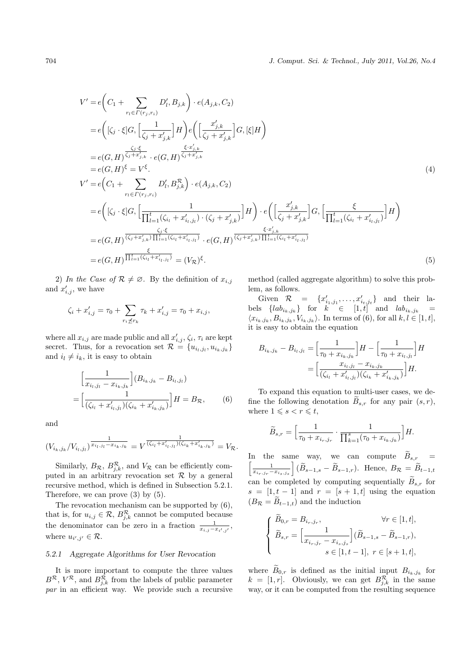$$
V' = e\left(C_{1} + \sum_{r_{i} \in \Gamma(r_{j}, r_{i})} D'_{i}, B_{j,k}\right) \cdot e(A_{j,k}, C_{2})
$$
  
\n
$$
= e\left([\zeta_{j} \cdot \xi]G, \left[\frac{1}{\zeta_{j} + x'_{j,k}}\right]H\right) e\left(\left[\frac{x'_{j,k}}{\zeta_{j} + x'_{j,k}}\right]G, [\xi]H\right)
$$
  
\n
$$
= e(G, H)^{\zeta_{j} + x'_{j,k}} \cdot e(G, H)^{\zeta_{j} + x'_{j,k}}
$$
  
\n
$$
= e(G, H)^{\xi} = V^{\xi}.
$$
  
\n
$$
V' = e\left(C_{1} + \sum_{r_{i} \in \Gamma(r_{j}, r_{i})} D'_{i}, B^{R}_{j,k}\right) \cdot e(A_{j,k}, C_{2})
$$
  
\n
$$
= e\left([\zeta_{j} \cdot \xi]G, \left[\frac{1}{\prod_{l=1}^{t}(\zeta_{i_{l}} + x'_{i_{l}, j_{l}}) \cdot (\zeta_{j} + x'_{j,k})}\right]H\right) \cdot e\left(\left[\frac{x'_{j,k}}{\zeta_{j} + x'_{j,k}}\right]G, \left[\frac{\xi}{\prod_{l=1}^{t}(\zeta_{i_{l}} + x'_{i_{l}, j_{l}})}\right]H\right)
$$
  
\n
$$
= e(G, H)^{\frac{\zeta_{j} \cdot \xi}{(\zeta_{j} + x'_{j,k}) \prod_{l=1}^{t}(\zeta_{i_{l}} + x'_{i_{l}, j_{l}})} \cdot e(G, H)^{\frac{\xi \cdot x'_{j,k}}{(\zeta_{j} + x'_{j,k}) \prod_{l=1}^{t}(\zeta_{i_{l}} + x'_{i_{l}, j_{l}})}} = (V_{\mathcal{R}})^{\xi}.
$$
  
\n(5)

2) In the Case of  $\mathcal{R} \neq \emptyset$ . By the definition of  $x_{i,j}$ and  $x'_{i,j}$ , we have

$$
\zeta_i + x'_{i,j} = \tau_0 + \sum_{r_i \neq r_k} \tau_k + x'_{i,j} = \tau_0 + x_{i,j},
$$

where all  $x_{i,j}$  are made public and all  $x'_{i,j}$ ,  $\zeta_i$ ,  $\tau_i$  are kept secret. Thus, for a revocation set  $\mathcal{R} = \{u_{i_l,j_l}, u_{i_k,j_k}\}\$ and  $i_l \neq i_k$ , it is easy to obtain

$$
\left[\frac{1}{x_{i_l,j_l} - x_{i_k,j_k}}\right](B_{i_k,j_k} - B_{i_l,j_l})
$$
\n
$$
= \left[\frac{1}{(\zeta_{i_l} + x'_{i_l,j_l})(\zeta_{i_k} + x'_{i_k,j_k})}\right]H = B_{\mathcal{R}},\qquad(6)
$$

and

$$
(V_{i_k,j_k}/V_{i_l,j_l})^{\frac{1}{x_{i_l,j_l}-x_{i_k,j_k}}} = V^{\frac{1}{(\zeta_{i_l}+x'_{i_l,j_l})(\zeta_{i_k}+x'_{i_k,j_k})}} = V_{\mathcal{R}}.
$$

Similarly,  $B_{\mathcal{R}}$ ,  $B_{j,k}^{\mathcal{R}}$ , and  $V_{\mathcal{R}}$  can be efficiently computed in an arbitrary revocation set  $\mathcal R$  by a general recursive method, which is defined in Subsection 5.2.1. Therefore, we can prove  $(3)$  by  $(5)$ .

The revocation mechanism can be supported by (6), that is, for  $u_{i,j} \in \mathcal{R}$ ,  $B_{j,k}^{\mathcal{R}}$  cannot be computed because the denominator can be zero in a fraction  $\frac{1}{x_{i,j}-x_{i',j'}}$ , where  $u_{i',j'} \in \mathcal{R}$ .

## 5.2.1 Aggregate Algorithms for User Revocation

It is more important to compute the three values  $B^{\mathcal{R}}, V^{\mathcal{R}},$  and  $B^{\mathcal{R}}_{j,k}$  from the labels of public parameter par in an efficient way. We provide such a recursive

method (called aggregate algorithm) to solve this problem, as follows.

Given  $\mathcal{R} = \{x'_{i_1,j_1}, \ldots, x'_{i_t,j_t}\}$  and their labels  $\{lab_{i_k,j_k}\}\$  for  $k \in [1,t]$  and  $lab_{i_k,j_k} =$  $\langle x_{i_k,j_k}, B_{i_k,j_k}, V_{i_k,j_k} \rangle$ . In terms of (6), for all  $k, l \in [1, t]$ , it is easy to obtain the equation

$$
B_{i_k,j_k} - B_{i_l,j_l} = \left[\frac{1}{\tau_0 + x_{i_k,j_k}}\right]H - \left[\frac{1}{\tau_0 + x_{i_l,j_l}}\right]H
$$
  

$$
= \left[\frac{x_{i_l,j_l} - x_{i_k,j_k}}{(\zeta_{i_l} + x'_{i_l,j_l})(\zeta_{i_k} + x'_{i_k,j_k})}\right]H.
$$

To expand this equation to multi-user cases, we define the following denotation  $B_{s,r}$  for any pair  $(s, r)$ , where  $1 \leqslant s < r \leqslant t$ ,

$$
\widetilde{B}_{s,r} = \left[\frac{1}{\tau_0 + x_{i_r,j_r}} \cdot \frac{1}{\prod_{k=1}^s (\tau_0 + x_{i_k,j_k})}\right] H.
$$

In the same way, we can compute  $\widetilde{B}_{s,r}$  =  $\frac{1}{x_{i_r,j_r}-x_{i_s,j_s}}$ ii<br>1  $(\widetilde{B}_{s-1,s} - \widetilde{B}_{s-1,r})$ . Hence,  $B_{\mathcal{R}} = \widetilde{B}_{t-1,t}$ can be completed by computing sequentially  $\widetilde{B}_{s,r}$  for  $s = [1, t - 1]$  and  $r = [s + 1, t]$  using the equation  $(B_{\mathcal{R}} = B_{t-1,t})$  and the induction

$$
\left\{ \begin{array}{lr} \widetilde{B}_{0,r}=B_{i_r,j_r}, & \forall r\in[1,t],\\ \widetilde{B}_{s,r}=\Bigl[\frac{1}{x_{i_r,j_r}-x_{i_s,j_s}}\Bigr](\widetilde{B}_{s-1,s}-\widetilde{B}_{s-1,r}), & \\ s\in[1,t-1],~r\in[s+1,t], \end{array} \right.
$$

where  $\widetilde{B}_{0,r}$  is defined as the initial input  $B_{i_k,j_k}$  for  $k = [1, r]$ . Obviously, we can get  $B_{j,k}^{\mathcal{R}}$  in the same way, or it can be computed from the resulting sequence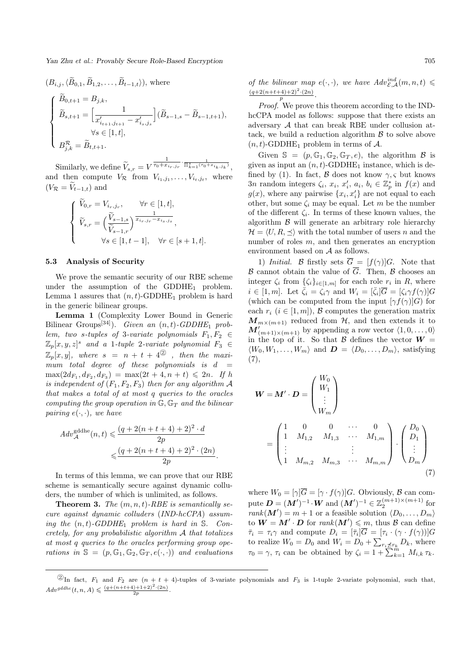Yan Zhu et al.: Provably Secure Role-Based Encryption 705

$$
(B_{i,j}, \langle \widetilde{B}_{0,1}, \widetilde{B}_{1,2}, \dots, \widetilde{B}_{t-1,t} \rangle), \text{ where}
$$
\n
$$
\begin{cases}\n\widetilde{B}_{0,t+1} = B_{j,k}, \\
\widetilde{B}_{s,t+1} = \left[ \frac{1}{x'_{i_{t+1}, j_{t+1}} - x'_{i_s, j_s}} \right] (\widetilde{B}_{s-1,s} - \widetilde{B}_{s-1,t+1}), \\
\forall s \in [1, t], \\
B_{j,k}^{\mathcal{R}} = \widetilde{B}_{t,t+1}.\n\end{cases}
$$

Similarly, we define  $\widetilde{V}_{s,r} = V^{\frac{1}{\tau_0 + x_{i_r,j_r}} \cdot \frac{1}{\prod_{k=1}^s (\tau_0 + x_{i_k,j_k})}},$ and then compute  $V_{\mathcal{R}}$  from  $V_{i_1,j_1}, \ldots, V_{i_t,j_t}$ , where  $(V_{\mathcal{R}}=V_{t-1,t})$  and

$$
\left\{\begin{array}{ll}\widetilde{V}_{0,r}=V_{i_r,j_r},&\forall r\in[1,t],\\ \widetilde{V}_{s,r}=\Big(\frac{\widetilde{V}_{s-1,s}}{\widetilde{V}_{s-1,r}}\Big)^{\frac{1}{x_{i_r,j_r}-x_{i_s,j_s}}},\\ \forall s\in[1,t-1],&\forall r\in[s+1,t].\end{array}\right.
$$

### 5.3 Analysis of Security

We prove the semantic security of our RBE scheme under the assumption of the  $GDDHE_1$  problem. Lemma 1 assures that  $(n, t)$ -GDDHE<sub>1</sub> problem is hard in the generic bilinear groups.

Lemma 1 (Complexity Lower Bound in Generic Bilinear Groups<sup>[34]</sup>). Given an  $(n, t)$ -GDDHE<sub>1</sub> problem, two s-tuples of 3-variate polynomials  $F_1, F_2 \in$  $\mathbb{Z}_p[x,y,z]^s$  and a 1-tuple 2-variate polynomial  $F_3 \in$  $\mathbb{Z}_p[x, y]$ , where  $s = n + t + 4^{\circled{2}}$ , then the maximum total degree of these polynomials is  $d =$  $\max(2d_{F_1}, d_{F_2}, d_{F_3}) = \max(2t + 4, n + t) \leq 2n$ . If h is independent of  $(F_1, F_2, F_3)$  then for any algorithm A that makes a total of at most q queries to the oracles computing the group operation in  $\mathbb{G}, \mathbb{G}_T$  and the bilinear pairing  $e(\cdot, \cdot)$ , we have

$$
Adv_{\mathcal{A}}^{\mathrm{gddhe}}(n,t) \leqslant \frac{(q+2(n+t+4)+2)^2 \cdot d}{2p} \leqslant \frac{(q+2(n+t+4)+2)^2 \cdot (2n)}{2p}.
$$

In terms of this lemma, we can prove that our RBE scheme is semantically secure against dynamic colluders, the number of which is unlimited, as follows.

**Theorem 3.** The  $(m, n, t)$ -RBE is semantically secure against dynamic colluders (IND-hcCPA) assuming the  $(n, t)$ -GDDHE<sub>1</sub> problem is hard in S. Concretely, for any probabilistic algorithm A that totalizes at most q queries to the oracles performing group operations in  $\mathbb{S} = (p, \mathbb{G}_1, \mathbb{G}_2, \mathbb{G}_T, e(\cdot, \cdot))$  and evaluations

of the bilinear map  $e(\cdot, \cdot)$ , we have  $Adv_{\mathcal{E}, \mathcal{A}}^{ind}(m, n, t)$  $\frac{(q+2(n+t+4)+2)^2 \cdot (2n)}{n}$ . p

Proof. We prove this theorem according to the INDhcCPA model as follows: suppose that there exists an adversary A that can break RBE under collusion attack, we build a reduction algorithm  $\beta$  to solve above  $(n, t)$ -GDDHE<sub>1</sub> problem in terms of A.

Given  $\mathbb{S} = (p, \mathbb{G}_1, \mathbb{G}_2, \mathbb{G}_T, e)$ , the algorithm  $\beta$  is given as input an  $(n, t)$ -GDDHE<sub>1</sub> instance, which is defined by (1). In fact,  $\beta$  does not know  $\gamma$ ,  $\zeta$  but knows 3n random integers  $\zeta_i$ ,  $x_i$ ,  $x'_i$ ,  $a_i$ ,  $b_i \in \mathbb{Z}_p^*$  in  $f(x)$  and  $g(x)$ , where any pairwise  $\{x_i, x'_i\}$  are not equal to each other, but some  $\zeta_i$  may be equal. Let m be the number of the different  $\zeta_i$ . In terms of these known values, the algorithm  $\beta$  will generate an arbitrary role hierarchy  $\mathcal{H} = \langle U, R, \preceq \rangle$  with the total number of users n and the number of roles m, and then generates an encryption environment based on A as follows.

1) Initial. B firstly sets  $\overline{G} = [f(\gamma)]G$ . Note that  $\beta$  cannot obtain the value of  $\overline{G}$ . Then,  $\beta$  chooses an integer  $\zeta_i$  from  $\{\zeta_i\}_{i\in[1,m]}$  for each role  $r_i$  in R, where  $i \in [1, m]$ . Let  $\overline{\zeta}_i = \zeta_i \gamma$  and  $W_i = [\overline{\zeta}_i] \overline{G} = [\zeta_i \gamma f(\gamma)] G$ (which can be computed from the input  $[\gamma f(\gamma)]G$ ) for each  $r_i$  ( $i \in [1, m]$ ),  $\beta$  computes the generation matrix  $\mathbf{M}_{m\times(m+1)}$  reduced from  $\mathcal{H}$ , and then extends it to  $M'_{(m+1)\times(m+1)}$  by appending a row vector  $\langle 1, 0, \ldots, 0 \rangle$ in the top of it. So that  $\beta$  defines the vector  $W =$  $\langle W_0, W_1, \ldots, W_m \rangle$  and  $\mathbf{D} = \langle D_0, \ldots, D_m \rangle$ , satisfying  $(7)$ .

$$
\mathbf{W} = \mathbf{M}' \cdot \mathbf{D} = \begin{pmatrix} W_0 \\ W_1 \\ \vdots \\ W_m \end{pmatrix}
$$
  
= 
$$
\begin{pmatrix} 1 & 0 & 0 & \cdots & 0 \\ 1 & M_{1,2} & M_{1,3} & \cdots & M_{1,m} \\ \vdots & & \vdots & \vdots \\ 1 & M_{m,2} & M_{m,3} & \cdots & M_{m,m} \end{pmatrix} \cdot \begin{pmatrix} D_0 \\ D_1 \\ \vdots \\ D_m \end{pmatrix}
$$

$$
(7)
$$

where  $W_0 = [\gamma] \overline{G} = [\gamma \cdot f(\gamma)] G$ . Obviously,  $\beta$  can compute  $\boldsymbol{D} = (\boldsymbol{M}')^{-1} \cdot \boldsymbol{W}$  and  $(\boldsymbol{M}')^{-1} \in \mathbb{Z}_2^{(m+1)\times (m+1)}$  for  $rank(\mathbf{M}') = m + 1$  or a feasible solution  $\langle D_0, \ldots, D_m \rangle$ to  $\mathbf{W} = \mathbf{M}' \cdot \mathbf{D}$  for  $rank(\mathbf{M}') \leqslant m$ , thus  $\mathcal B$  can define  $\bar{\tau}_i = \tau_i \gamma$  and compute  $D_i = [\bar{\tau}_i] \overline{G} = [\tau_i \cdot (\gamma \cdot f(\gamma))] G$ to realize  $W_0 = D_0$  and  $W_i = D_0 + \sum_{r_i \nleq r_k} D_k$ , where  $\tau_0 = \gamma$ ,  $\tau_i$  can be obtained by  $\zeta_i = 1 + \sum_{k=1}^m M_{i,k} \tau_k$ .

 $\mathcal{D}_{\text{In fact, }F_1}$  and  $F_2$  are  $(n + t + 4)$ -tuples of 3-variate polynomials and  $F_3$  is 1-tuple 2-variate polynomial, such that,  $Adv^{gddhe}(t, n, A) \leqslant \frac{(q+(n+t+4)+1+2)^2 \cdot (2n)}{2p}.$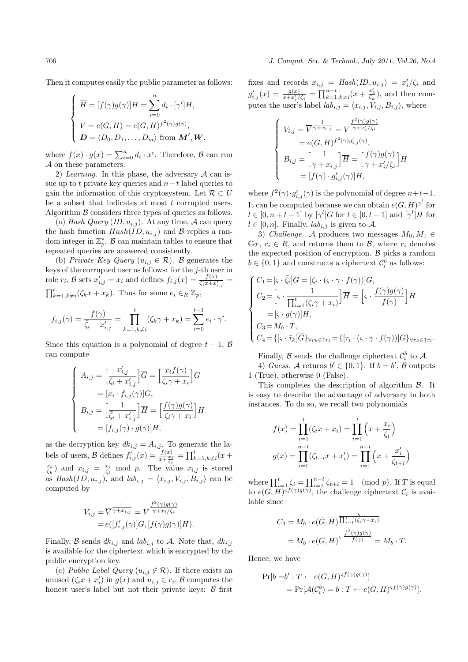Then it computes easily the public parameter as follows:

$$
\begin{cases}\n\overline{H} = [f(\gamma)g(\gamma)]H = \sum_{i=0}^{n} d_i \cdot [\gamma^i]H, \\
\overline{V} = e(\overline{G}, \overline{H}) = e(G, H)^{f^2(\gamma)g(\gamma)}, \\
\overline{D} = \langle D_0, D_1, \dots, D_m \rangle \text{ from } \overline{M}', \overline{W},\n\end{cases}
$$

where  $f(x) \cdot g(x) = \sum_{i=0}^{n} d_i \cdot x^i$ . Therefore,  $\beta$  can run A on these parameters.

2) Learning. In this phase, the adversary  $\mathcal A$  can issue up to t private key queries and  $n-t$  label queries to gain the information of this cryptosystem. Let  $\mathcal{R} \subset U$ be a subset that indicates at most  $t$  corrupted users. Algorithm  $\beta$  considers three types of queries as follows.

(a) Hash Query  $(ID, u_{i,j})$ . At any time, A can query the hash function  $Hash(ID, u_{i,j})$  and  $B$  replies a random integer in  $\mathbb{Z}_p^*$ .  $\mathcal B$  can maintain tables to ensure that repeated queries are answered consistently.

(b) Private Key Query  $(u_{i,j} \in \mathcal{R})$ . B generates the keys of the corrupted user as follows: for the  $j$ -th user in role  $r_i$ ,  $\mathcal B$  sets  $x'_{i,j} = x_i$  and defines  $f_{i,j}(x) = \frac{f(x)}{\zeta_i x + x'_{i,j}} =$  $\prod_{k=1,k\neq i}^{t}(\zeta_k x + x_k)$ . Thus for some  $e_i \in_R \mathbb{Z}_p$ ,

$$
f_{i,j}(\gamma) = \frac{f(\gamma)}{\bar{\zeta}_i + x'_{i,j}} = \prod_{k=1, k \neq i}^{t} (\zeta_k \gamma + x_k) = \sum_{i=0}^{t-1} e_i \cdot \gamma^i.
$$

Since this equation is a polynomial of degree  $t - 1$ ,  $\beta$ can compute

$$
\left\{ \begin{array}{l} A_{i,j} = \Bigl[ \frac{x'_{i,j}}{\bar{\zeta}_i + x'_{i,j}} \Bigr] \overline{G} = \Bigl[ \frac{x_i f(\gamma)}{\zeta_i \gamma + x_i} \Bigr] G \\qquad \qquad = [x_i \cdot f_{i,j}(\gamma)] G, \\ B_{i,j} = \Bigl[ \frac{1}{\bar{\zeta}_i + x'_{i,j}} \Bigr] \overline{H} = \Bigl[ \frac{f(\gamma) g(\gamma)}{\zeta_i \gamma + x_i} \Bigr] H \\qquad \qquad = [f_{i,j}(\gamma) \cdot g(\gamma)] H, \end{array} \right.
$$

as the decryption key  $dk_{i,j} = A_{i,j}$ . To generate the labels of users, B defines  $f'_{i,j}(x) = \frac{f(x)}{x + \frac{x_i}{\zeta_i}} = \prod_{k=1, k \neq i}^{t} (x +$  $\frac{x_k}{\zeta_k}$  and  $x_{i,j} = \frac{x_i}{\zeta_i} \mod p$ . The value  $x_{i,j}$  is stored as  $Hash(ID, u_{i,j}),$  and  $lab_{i,j} = \langle x_{i,j}, V_{i,j}, B_{i,j} \rangle$  can be computed by

$$
V_{i,j} = \overline{V} \overline{\gamma + x_{i,j}} = V \frac{f^2(\gamma)g(\gamma)}{\gamma + x_i/\zeta_i}
$$
  
=  $e([f'_{i,j}(\gamma)]G, [f(\gamma)g(\gamma)]H).$ 

Finally, B sends  $dk_{i,j}$  and  $lab_{i,j}$  to A. Note that,  $dk_{i,j}$ is available for the ciphertext which is encrypted by the public encryption key.

(c) Public Label Query  $(u_{i,j} \notin \mathcal{R})$ . If there exists an unused  $(\zeta_i x + x'_i)$  in  $g(x)$  and  $u_{i,j} \in r_i$ ,  $\mathcal{B}$  computes the honest user's label but not their private keys:  $\beta$  first fixes and records  $x_{i,j} = \text{Hash}(ID, u_{i,j}) = x'_i/\zeta_i$  and  $g'_{i,j}(x) = \frac{g(x)}{x + x'_i/\zeta_i} = \prod_{k=1, k \neq i}^{n-t} (x + \frac{x'_k}{\zeta_k})$ , and then computes the user's label  $lab_{i,j} = \langle x_{i,j}, V_{i,j}, B_{i,j} \rangle$ , where

$$
\left\{ \begin{array}{l} V_{i,j} = \overline{V} \frac{1}{\gamma + x_{i,j}} = V \frac{f^2(\gamma)g(\gamma)}{\gamma + x_i'/\zeta_i} \\ = e(G, H)^{f^2(\gamma)g'_{i,j}(\gamma)}, \\ B_{i,j} = \left[\frac{1}{\gamma + x_{i,j}}\right] \overline{H} = \left[\frac{f(\gamma)g(\gamma)}{\gamma + x_i'/\zeta_i}\right] H \\ = [f(\gamma) \cdot g'_{i,j}(\gamma)]H, \end{array} \right.
$$

where  $f^2(\gamma) \cdot g'_{i,j}(\gamma)$  is the polynomial of degree  $n+t-1$ . It can be computed because we can obtain  $e(G, H)^{\gamma^l}$  for  $l \in [0, n+t-1]$  by  $[\gamma^l]G$  for  $l \in [0, t-1]$  and  $[\gamma^l]H$  for  $l \in [0, n]$ . Finally,  $lab_{i,j}$  is given to A.

3) Challenge. A produces two messages  $M_0, M_1 \in$  $\mathbb{G}_T$ ,  $r_i \in R$ , and returns them to  $\mathcal{B}$ , where  $r_i$  denotes the expected position of encryption.  $\beta$  picks a random  $b \in \{0,1\}$  and constructs a ciphertext  $\mathcal{C}_i^b$  as follows:

$$
\begin{cases}\nC_1 = [\varsigma \cdot \bar{\zeta}_i] \overline{G} = [\zeta_i \cdot (\varsigma \cdot \gamma \cdot f(\gamma))] G, \\
C_2 = [\varsigma \cdot \frac{1}{\prod_{i=1}^t (\zeta_i \gamma + x_i)}] \overline{H} = [\varsigma \cdot \frac{f(\gamma)g(\gamma)}{f(\gamma)}] H \\
= [\varsigma \cdot g(\gamma)] H, \\
C_3 = M_b \cdot T, \\
C_4 = \{ [\varsigma \cdot \bar{\tau}_k] \overline{G} \} \forall r_k \in \uparrow r_i = \{ [\tau_i \cdot (\varsigma \cdot \gamma \cdot f(\gamma))] G \} \forall r_k \in \uparrow r_i.\n\end{cases}
$$

Finally,  $\beta$  sends the challenge ciphertext  $\mathcal{C}_i^b$  to  $\mathcal{A}$ .

4) Guess. A returns  $b' \in \{0, 1\}$ . If  $b = b'$ , B outputs 1 (True), otherwise 0 (False).

This completes the description of algorithm  $\beta$ . It is easy to describe the advantage of adversary in both instances. To do so, we recall two polynomials

$$
f(x) = \prod_{i=1}^{t} (\zeta_i x + x_i) = \prod_{i=1}^{t} \left( x + \frac{x_i}{\zeta_i} \right)
$$

$$
g(x) = \prod_{i=1}^{n-t} (\zeta_{t+i} x + x_i') = \prod_{i=1}^{n-t} \left( x + \frac{x_i'}{\zeta_{t+i}} \right)
$$

where  $\prod_{i=1}^{t} \zeta_i = \prod_{i=1}^{n-t} \zeta_{t+i} = 1 \pmod{p}$ . If T is equal to  $e(G, H)^{\zeta f(\gamma)g(\gamma)}$ , the challenge ciphertext  $\mathcal{C}_i$  is available since

$$
C_3 = M_b \cdot e(\overline{G}, \overline{H}) \overline{\prod_{i=1}^{t} (\zeta_i \gamma + x_i)}
$$
  
=  $M_b \cdot e(G, H)^{\zeta} \cdot \frac{f^2(\gamma)g(\gamma)}{f(\gamma)} = M_b \cdot T.$ 

Hence, we have

$$
\Pr[b = b' : T \leftarrow e(G, H)^{sf(\gamma)g(\gamma)}] \n= \Pr[\mathcal{A}(C_i^b) = b : T \leftarrow e(G, H)^{sf(\gamma)g(\gamma)}].
$$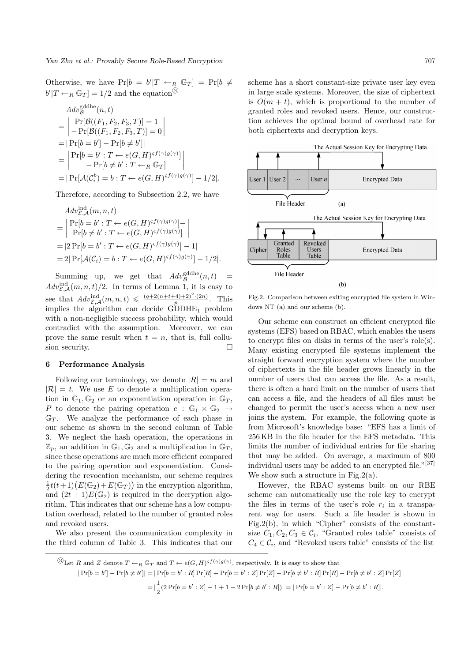Yan Zhu et al.: Provably Secure Role-Based Encryption 707

Otherwise, we have  $Pr[b = b'|T \leftarrow_R \mathbb{G}_T] = Pr[b \neq$  $b'|T \leftarrow_R \mathbb{G}_T] = 1/2$  and the equation<sup>39</sup>

$$
Adv_{\mathcal{B}}^{\text{gddhe}}(n, t)
$$
\n
$$
= \begin{vmatrix} \Pr[\mathcal{B}((F_1, F_2, F_3, T)] = 1 \\ -\Pr[\mathcal{B}((F_1, F_2, F_3, T)] = 0 \end{vmatrix}
$$
\n
$$
= |\Pr[b = b'] - \Pr[b \neq b']|
$$
\n
$$
= \begin{vmatrix} \Pr[b = b' : T \leftarrow e(G, H)^{sf(\gamma)g(\gamma)}] \\ -\Pr[b \neq b' : T \leftarrow_R \mathbb{G}_T] \end{vmatrix} \end{vmatrix}
$$
\n
$$
= |\Pr[\mathcal{A}(C_i^b) = b : T \leftarrow e(G, H)^{sf(\gamma)g(\gamma)}] - 1/2|.
$$

Therefore, according to Subsection 2.2, we have

$$
Adv_{\mathcal{E},\mathcal{A}}^{\text{ind}}(m,n,t)
$$
\n
$$
= \begin{vmatrix}\n\Pr[b = b': T \leftarrow e(G, H)^{cf(\gamma)g(\gamma)}] - \\
\Pr[b \neq b': T \leftarrow e(G, H)^{cf(\gamma)g(\gamma)}]\n\end{vmatrix}
$$
\n
$$
= |2 \Pr[b = b': T \leftarrow e(G, H)^{cf(\gamma)g(\gamma)}] - 1|
$$
\n
$$
= 2|\Pr[\mathcal{A}(\mathcal{C}_i) = b: T \leftarrow e(G, H)^{cf(\gamma)g(\gamma)}] - 1/2|.
$$

Summing up, we get that  $Adv^{\text{gddhe}}_{\mathcal{B}}(n,t) =$  $Adv_{\mathcal{E},\mathcal{A}}^{\text{ind}}(m,n,t)/2$ . In terms of Lemma 1, it is easy to see that  $Adv_{\mathcal{E},\mathcal{A}}^{\text{ind}}(m,n,t) \leq \frac{(q+2(n+t+4)+2)^2\cdot(2n)}{p}$  $\frac{(n+2)^{-(2n)}}{p}$ . This implies the algorithm can decide  $G\overline{D}DHE_1$  problem with a non-negligible success probability, which would contradict with the assumption. Moreover, we can prove the same result when  $t = n$ , that is, full collusion security.  $\Box$ 

#### 6 Performance Analysis

Following our terminology, we denote  $|R| = m$  and  $|\mathcal{R}| = t$ . We use E to denote a multiplication operation in  $\mathbb{G}_1, \mathbb{G}_2$  or an exponentiation operation in  $\mathbb{G}_T$ , P to denote the pairing operation  $e : \mathbb{G}_1 \times \mathbb{G}_2 \rightarrow$  $\mathbb{G}_T$ . We analyze the performance of each phase in our scheme as shown in the second column of Table 3. We neglect the hash operation, the operations in  $\mathbb{Z}_p$ , an addition in  $\mathbb{G}_1$ ,  $\mathbb{G}_2$  and a multiplication in  $\mathbb{G}_T$ , since these operations are much more efficient compared to the pairing operation and exponentiation. Considering the revocation mechanism, our scheme requires dering the revocation mechanism, our scheme requires  $\frac{1}{2}t(t+1)(E(\mathbb{G}_2)+E(\mathbb{G}_T))$  in the encryption algorithm, and  $(2t + 1)E(\mathbb{G}_2)$  is required in the decryption algorithm. This indicates that our scheme has a low computation overhead, related to the number of granted roles and revoked users.

We also present the communication complexity in the third column of Table 3. This indicates that our scheme has a short constant-size private user key even in large scale systems. Moreover, the size of ciphertext is  $O(m + t)$ , which is proportional to the number of granted roles and revoked users. Hence, our construction achieves the optimal bound of overhead rate for both ciphertexts and decryption keys.



Fig.2. Comparison between exiting encrypted file system in Windows NT (a) and our scheme (b).

Our scheme can construct an efficient encrypted file systems (EFS) based on RBAC, which enables the users to encrypt files on disks in terms of the user's role(s). Many existing encrypted file systems implement the straight forward encryption system where the number of ciphertexts in the file header grows linearly in the number of users that can access the file. As a result, there is often a hard limit on the number of users that can access a file, and the headers of all files must be changed to permit the user's access when a new user joins the system. For example, the following quote is from Microsoft's knowledge base: "EFS has a limit of 256 KB in the file header for the EFS metadata. This limits the number of individual entries for file sharing that may be added. On average, a maximum of 800 individual users may be added to an encrypted file." $[37]$ We show such a structure in Fig.2(a).

However, the RBAC systems built on our RBE scheme can automatically use the role key to encrypt the files in terms of the user's role  $r_i$  in a transparent way for users. Such a file header is shown in Fig.2(b), in which "Cipher" consists of the constantsize  $C_1, C_2, C_3 \in \mathcal{C}_i$ , "Granted roles table" consists of  $C_4 \in \mathcal{C}_i$ , and "Revoked users table" consists of the list

$$
\begin{aligned}\n\textcircled{1} \text{Let } R \text{ and } Z \text{ denote } T \leftarrow_R \mathbb{G}_T \text{ and } T \leftarrow e(G, H)^{cf(\gamma)g(\gamma)}, \text{ respectively. It is easy to show that} \\
| \Pr[b = b'] - \Pr[b \neq b']| = | \Pr[b = b' : R] \Pr[R] + \Pr[b = b' : Z] \Pr[Z] - \Pr[b \neq b' : R] \Pr[R] - \Pr[b \neq b' : Z] \Pr[Z] \\
&= |\frac{1}{2}(2\Pr[b = b' : Z] - 1 + 1 - 2\Pr[b \neq b' : R])| = |\Pr[b = b' : Z] - \Pr[b \neq b' : R]|.\n\end{aligned}
$$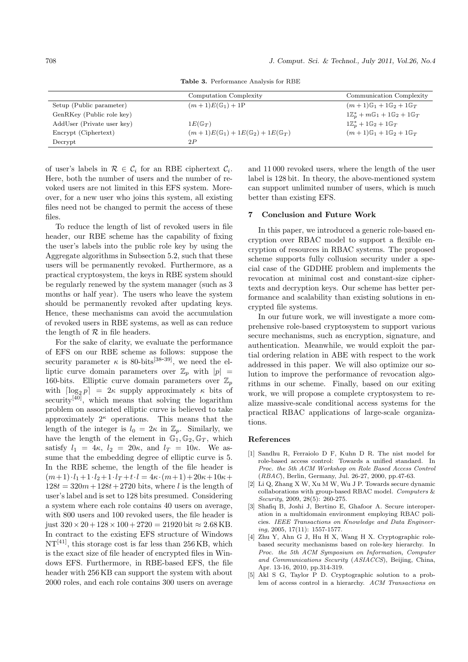Table 3. Performance Analysis for RBE

|                            | Computation Complexity                                   | Communication Complexity                                          |
|----------------------------|----------------------------------------------------------|-------------------------------------------------------------------|
| Setup (Public parameter)   | $(m+1)E(\mathbb{G}_1)+1P$                                | $(m+1)\mathbb{G}_1+1\mathbb{G}_2+1\mathbb{G}_T$                   |
| GenRKey (Public role key)  |                                                          | $1\mathbb{Z}_p^* + m\mathbb{G}_1 + 1\mathbb{G}_2 + 1\mathbb{G}_T$ |
| AddUser (Private user key) | $1E(\mathbb{G}_T)$                                       | $1\mathbb{Z}_p^* + 1\mathbb{G}_2 + 1\mathbb{G}_T$                 |
| Encrypt (Ciphertext)       | $(m+1)E(\mathbb{G}_1)+1E(\mathbb{G}_2)+1E(\mathbb{G}_T)$ | $(m+1)\mathbb{G}_1+1\mathbb{G}_2+1\mathbb{G}_T$                   |
| Decrypt                    | 2P                                                       |                                                                   |

of user's labels in  $\mathcal{R} \in \mathcal{C}_i$  for an RBE ciphertext  $\mathcal{C}_i$ . Here, both the number of users and the number of revoked users are not limited in this EFS system. Moreover, for a new user who joins this system, all existing files need not be changed to permit the access of these files.

To reduce the length of list of revoked users in file header, our RBE scheme has the capability of fixing the user's labels into the public role key by using the Aggregate algorithms in Subsection 5.2, such that these users will be permanently revoked. Furthermore, as a practical cryptosystem, the keys in RBE system should be regularly renewed by the system manager (such as 3 months or half year). The users who leave the system should be permanently revoked after updating keys. Hence, these mechanisms can avoid the accumulation of revoked users in RBE systems, as well as can reduce the length of  $R$  in file headers.

For the sake of clarity, we evaluate the performance of EFS on our RBE scheme as follows: suppose the security parameter  $\kappa$  is 80-bits<sup>[38-39]</sup>, we need the elliptic curve domain parameters over  $\mathbb{Z}_p$  with  $|p| =$ 160-bits. Elliptic curve domain parameters over  $\mathbb{Z}_p$ with  $\lceil \log_2 p \rceil = 2\kappa$  supply approximately  $\kappa$  bits of security<sup>[40]</sup>, which means that solving the logarithm problem on associated elliptic curve is believed to take approximately  $2^{\kappa}$  operations. This means that the length of the integer is  $l_0 = 2\kappa$  in  $\mathbb{Z}_p$ . Similarly, we have the length of the element in  $\mathbb{G}_1, \mathbb{G}_2, \mathbb{G}_T$ , which satisfy  $l_1 = 4\kappa$ ,  $l_2 = 20\kappa$ , and  $l_T = 10\kappa$ . We assume that the embedding degree of elliptic curve is 5. In the RBE scheme, the length of the file header is  $(m+1)\cdot l_1+1\cdot l_2+1\cdot l_T+t\cdot l=4\kappa\cdot (m+1)+20\kappa+10\kappa+$  $128t = 320m + 128t + 2720$  bits, where l is the length of user's label and is set to 128 bits presumed. Considering a system where each role contains 40 users on average, with 800 users and 100 revoked users, the file header is just  $320 \times 20 + 128 \times 100 + 2720 = 21920$  bit ≈ 2.68 KB. In contract to the existing EFS structure of Windows  $NT<sup>[41]</sup>$ , this storage cost is far less than 256 KB, which is the exact size of file header of encrypted files in Windows EFS. Furthermore, in RBE-based EFS, the file header with 256 KB can support the system with about 2000 roles, and each role contains 300 users on average

and 11 000 revoked users, where the length of the user label is 128 bit. In theory, the above-mentioned system can support unlimited number of users, which is much better than existing EFS.

### 7 Conclusion and Future Work

In this paper, we introduced a generic role-based encryption over RBAC model to support a flexible encryption of resources in RBAC systems. The proposed scheme supports fully collusion security under a special case of the GDDHE problem and implements the revocation at minimal cost and constant-size ciphertexts and decryption keys. Our scheme has better performance and scalability than existing solutions in encrypted file systems.

In our future work, we will investigate a more comprehensive role-based cryptosystem to support various secure mechanisms, such as encryption, signature, and authentication. Meanwhile, we would exploit the partial ordering relation in ABE with respect to the work addressed in this paper. We will also optimize our solution to improve the performance of revocation algorithms in our scheme. Finally, based on our exiting work, we will propose a complete cryptosystem to realize massive-scale conditional access systems for the practical RBAC applications of large-scale organizations.

## References

- [1] Sandhu R, Ferraiolo D F, Kuhn D R. The nist model for role-based access control: Towards a unified standard. In Proc. the 5th ACM Workshop on Role Based Access Control (RBAC), Berlin, Germany, Jul. 26-27, 2000, pp.47-63.
- [2] Li Q, Zhang X W, Xu M W, Wu J P. Towards secure dynamic collaborations with group-based RBAC model. Computers & Security, 2009, 28(5): 260-275.
- [3] Shafiq B, Joshi J, Bertino E, Ghafoor A. Secure interoperation in a multidomain environment employing RBAC policies. IEEE Transactions on Knowledge and Data Engineering, 2005, 17(11): 1557-1577.
- [4] Zhu Y, Ahn G J, Hu H X, Wang H X. Cryptographic rolebased security mechanisms based on role-key hierarchy. In Proc. the 5th ACM Symposium on Information, Computer and Communications Security (ASIACCS), Beijing, China, Apr. 13-16, 2010, pp.314-319.
- [5] Akl S G, Taylor P D. Cryptographic solution to a problem of access control in a hierarchy. ACM Transactions on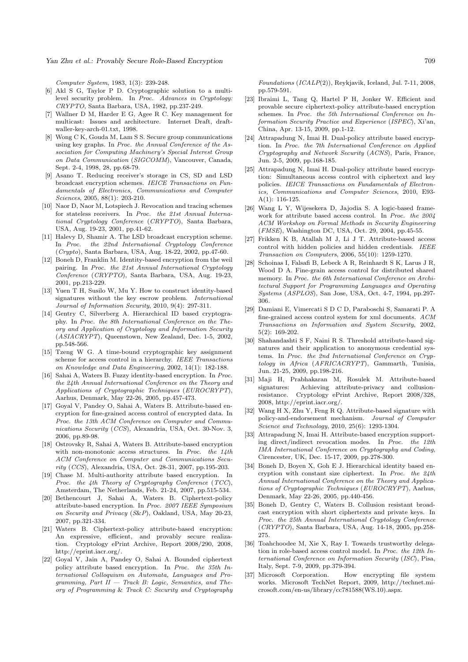Computer System, 1983, 1(3): 239-248.

- [6] Akl S G, Taylor P D. Cryptographic solution to a multilevel security problem. In Proc. Advances in Cryptology: CRYPTO, Santa Barbara, USA, 1982, pp.237-249.
- [7] Wallner D M, Harder E G, Agee R C. Key management for multicast: Issues and architecture. Internet Draft, draftwaller-key-arch-01.txt, 1998.
- [8] Wong C K, Gouda M, Lam S S. Secure group communications using key graphs. In Proc. the Annual Conference of the Association for Computing Machinery's Special Interest Group on Data Communication (SIGCOMM), Vancouver, Canada, Sept. 2-4, 1998, 28, pp.68-79.
- [9] Asano T. Reducing receiver's storage in CS, SD and LSD broadcast encryption schemes. IEICE Transactions on Fundamentals of Electronics, Communications and Computer Sciences, 2005, 88(1): 203-210.
- [10] Naor D, Naor M, Lotspiech J. Revocation and tracing schemes for stateless receivers. In Proc. the 21st Annual International Cryptology Conference (CRYPTO), Santa Barbara, USA, Aug. 19-23, 2001, pp.41-62.
- [11] Halevy D, Shamir A. The LSD broadcast encryption scheme. In Proc. the 22nd International Cryptology Conference (Crypto), Santa Barbara, USA, Aug. 18-22, 2002, pp.47-60.
- [12] Boneh D, Franklin M. Identity-based encryption from the weil pairing. In Proc. the 21st Annual International Cruptology Conference (CRYPTO), Santa Barbara, USA, Aug. 19-23, 2001, pp.213-229.
- [13] Yuen T H, Susilo W, Mu Y. How to construct identity-based signatures without the key escrow problem. International Journal of Information Security, 2010, 9(4): 297-311.
- [14] Gentry C, Silverberg A. Hierarchical ID based cryptography. In Proc. the 8th International Conference on the Theory and Application of Cryptology and Information Security (ASIACRYPT), Queenstown, New Zealand, Dec. 1-5, 2002, pp.548-566.
- [15] Tzeng W G. A time-bound cryptographic key assignment scheme for access control in a hierarchy. IEEE Transactions on Knowledge and Data Engineering, 2002, 14(1): 182-188.
- [16] Sahai A, Waters B. Fuzzy identity-based encryption. In Proc. the 24th Annual International Conference on the Theory and Applications of Cryptographic Techniques (EUROCRYPT), Aarhus, Denmark, May 22-26, 2005, pp.457-473.
- [17] Goyal V, Pandey O, Sahai A, Waters B. Attribute-based encryption for fine-grained access control of encrypted data. In Proc. the 13th ACM Conference on Computer and Communications Security (CCS), Alexandria, USA, Oct. 30-Nov. 3, 2006, pp.89-98.
- [18] Ostrovsky R, Sahai A, Waters B. Attribute-based encryption with non-monotonic access structures. In Proc. the  $14$ th ACM Conference on Computer and Communications Security (CCS), Alexandria, USA, Oct. 28-31, 2007, pp.195-203.
- [19] Chase M. Multi-authority attribute based encryption. In Proc. the 4th Theory of Cryptography Conference (TCC), Amsterdam, The Netherlands, Feb. 21-24, 2007, pp.515-534.
- [20] Bethencourt J, Sahai A, Waters B. Ciphertext-policy attribute-based encryption. In Proc. 2007 IEEE Symposium on Security and Privacy (S&P), Oakland, USA, May 20-23, 2007, pp.321-334.
- [21] Waters B. Ciphertext-policy attribute-based encryption: An expressive, efficient, and provably secure realization. Cryptology ePrint Archive, Report 2008/290, 2008, http://eprint.iacr.org/.
- [22] Goyal V, Jain A, Pandey O, Sahai A. Bounded ciphertext policy attribute based encryption. In Proc. the 35th International Colloquium on Automata, Languages and Programming, Part  $II$  – Track B: Logic, Semantics, and Theory of Programming & Track C: Security and Cryptography

Foundations (ICALP(2)), Reykjavik, Iceland, Jul. 7-11, 2008, pp.579-591.

- [23] Ibraimi L, Tang Q, Hartel P H, Jonker W. Efficient and provable secure ciphertext-policy attribute-based encryption schemes. In Proc. the 5th International Conference on Information Security Practice and Experience (ISPEC), Xi'an, China, Apr. 13-15, 2009, pp.1-12.
- [24] Attrapadung N, Imai H. Dual-policy attribute based encryption. In Proc. the 7th International Conference on Applied Cryptography and Network Security (ACNS), Paris, France, Jun. 2-5, 2009, pp.168-185.
- [25] Attrapadung N, Imai H. Dual-policy attribute based encryption: Simultaneous access control with ciphertext and key policies. IEICE Transactions on Fundamentals of Electronics, Communications and Computer Sciences, 2010, E93- A(1): 116-125.
- [26] Wang L Y, Wijesekera D, Jajodia S. A logic-based framework for attribute based access control. In Proc. the 2004 ACM Workshop on Formal Methods in Security Engineering (FMSE), Washington DC, USA, Oct. 29, 2004, pp.45-55.
- [27] Frikken K B, Atallah M J, Li J T. Attribute-based access control with hidden policies and hidden credentials. IEEE Transaction on Computers, 2006, 55(10): 1259-1270.
- [28] Schoinas I, Falsafi B, Lebeck A R, Reinhardt S K, Larus J R, Wood D A. Fine-grain access control for distributed shared memory. In Proc. the 6th International Conference on Architectural Support for Programming Languages and Operating Systems (ASPLOS), San Jose, USA, Oct. 4-7, 1994, pp.297- 306.
- [29] Damiani E, Vimercati S D C D, Paraboschi S, Samarati P. A fine-grained access control system for xml documents. ACM Transactions on Information and System Security, 2002, 5(2): 169-202.
- [30] Shahandashti S F, Naini R S. Threshold attribute-based signatures and their application to anonymous credential systems. In Proc. the 2nd International Conference on Cryptology in Africa (AFRICACRYPT), Gammarth, Tunisia, Jun. 21-25, 2009, pp.198-216.
- [31] Maji H, Prabhakaran M, Rosulek M. Attribute-based signatures: Achieving attribute-privacy and collusionresistance. Cryptology ePrint Archive, Report 2008/328, 2008, http://eprint.iacr.org/.
- [32] Wang H X, Zhu Y, Feng R Q. Attribute-based signature with policy-and-endorsement mechanism. Journal of Computer Science and Technology, 2010, 25(6): 1293-1304.
- [33] Attrapadung N, Imai H. Attribute-based encryption supporting direct/indirect revocation modes. In Proc. the 12th IMA International Conference on Cryptography and Coding, Cirencester, UK, Dec. 15-17, 2009, pp.278-300.
- [34] Boneh D, Boyen X, Goh E J. Hierarchical identity based encryption with constant size ciphertext. In Proc. the 24th Annual International Conference on the Theory and Applications of Cryptographic Techniques (EUROCRYPT), Aarhus, Denmark, May 22-26, 2005, pp.440-456.
- [35] Boneh D, Gentry C, Waters B. Collusion resistant broadcast encryption with short ciphertexts and private keys. In Proc. the 25th Annual International Cryptology Conference (CRYPTO), Santa Barbara, USA, Aug. 14-18, 2005, pp.258- 275.
- [36] Toahchoodee M, Xie X, Ray I. Towards trustworthy delegation in role-based access control model. In Proc. the 12th International Conference on Information Security (ISC), Pisa, Italy, Sept. 7-9, 2009, pp.379-394.
- [37] Microsoft Corporation. How encrypting file system works. Microsoft TechNet Report, 2009, http://technet.microsoft.com/en-us/library/cc781588(WS.10).aspx.